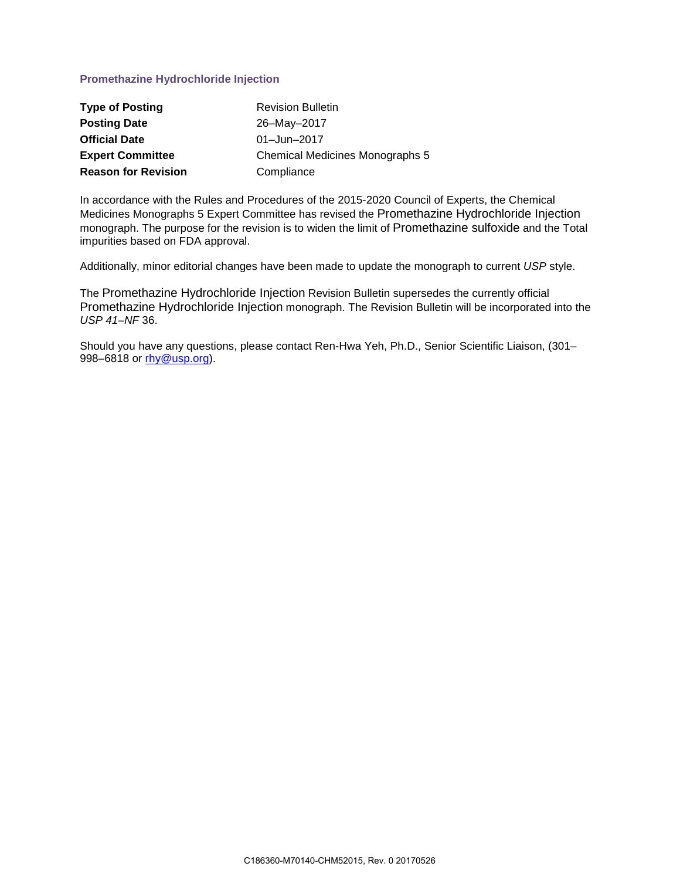## **Promethazine Hydrochloride Injection**

| <b>Type of Posting</b>     | <b>Revision Bulletin</b>               |
|----------------------------|----------------------------------------|
| <b>Posting Date</b>        | 26-May-2017                            |
| <b>Official Date</b>       | 01-Jun-2017                            |
| <b>Expert Committee</b>    | <b>Chemical Medicines Monographs 5</b> |
| <b>Reason for Revision</b> | Compliance                             |

In accordance with the Rules and Procedures of the 2015-2020 Council of Experts, the Chemical Medicines Monographs 5 Expert Committee has revised the Promethazine Hydrochloride Injection monograph. The purpose for the revision is to widen the limit of Promethazine sulfoxide and the Total impurities based on FDA approval.

Additionally, minor editorial changes have been made to update the monograph to current *USP* style.

The Promethazine Hydrochloride Injection Revision Bulletin supersedes the currently official Promethazine Hydrochloride Injection monograph. The Revision Bulletin will be incorporated into the *USP 41*–*NF* 36.

Should you have any questions, please contact Ren-Hwa Yeh, Ph.D., Senior Scientific Liaison, (301– 998–6818 or [rhy@usp.org\)](mailto:RHY@usp.org).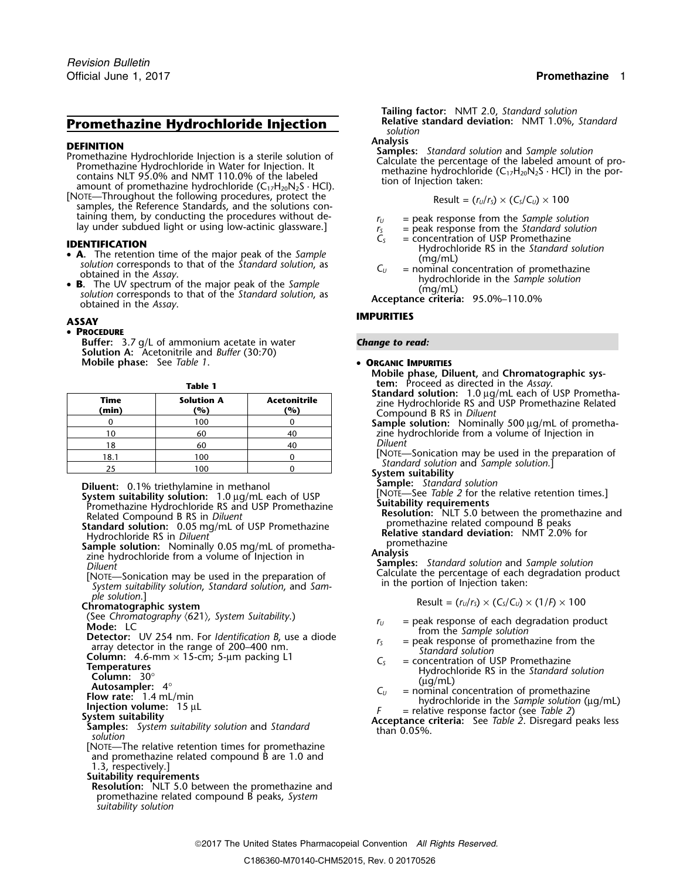# **Promethazine Hydrochloride Injection** *Relative Solution*

- **DEFINITION**<br> **Promethazine Hydrochloride Injection is a sterile solution of**<br> **Promethazine Hydrochloride in Water for Injection. It**<br>
contains NLT 95.0% and NMT 110.0% of the labeled<br>
amount of promethazine hydrochlorid
- $s$ *amples, the Reference Standards, and the solutions con*taining them, by conducting the procedures without de-<br>lay under subdued light or using low-actinic glassware.]<br> $r_y =$  peak response from the Standard solution<br> $r_s =$  peak response from the Standard solution<br> $C_s =$  concentra

- 
- solution corresponds to that of the *Standard solution*, as **Acceptance criteria:** 95.0%–110.0% obtained in the *Assay*.

### • **PROCEDURE**

**Buffer:** 3.7 g/L of ammonium acetate in water **Change to read: Solution A:** Acetonitrile and *Buffer* (30:70) **Mobile phase:** See *Table 1*. • **ORGANIC IMPURITIES**

| Standar<br>zine Hy<br>Compo   | Acetonitrile<br>'%) | <b>Solution A</b><br>'%) | Time<br>(min) |  |  |
|-------------------------------|---------------------|--------------------------|---------------|--|--|
| Sample                        |                     | 100                      |               |  |  |
| zine hy                       | 40                  | 60                       |               |  |  |
| <b>Diluent</b>                |                     | 60                       | 18            |  |  |
| =NOTE]<br>Stand               |                     | 100                      | 18.1          |  |  |
| $\mathbf{C}$ and $\mathbf{C}$ |                     | 100                      |               |  |  |

**Diluent:** 0.1% triethylamine in methanol<br> **System suitability solution:** 1.0 µg/mL each of USP<br>
Promethazine Hydrochloride RS and USP Promethazine<br>
Related Compound B RS in *Diluent*<br> **Suitability requirements**<br>
Related C

**Sample solution:** Nominally 0.05 mg/mL of prometha- **analysis** zine hydrochloride from a volume of Injection in<br>*Diluent* **Sample** 

Calculate the percentage of each degree of each degree of each of system suitability solution, *Standard solution*, and *Sam-* in the portion of Injection taken: *ple solution.* and *Sam-* ple solution. **Possible**  $\left($ s a

*p*<sub>le</sub> solution.]<br> **Chromatographic system**<br>
(See Chromatography (621), System Suitability.)<br>  $P_{U} =$  peak response of each degradation pro

[NOTE—The relative retention times for promethazine and promethazine related compound B are 1.0 and

1.3, respectively.]

**Suitability requirements**

**Resolution:** NLT 5.0 between the promethazine and promethazine related compound B peaks, *System suitability solution*

**Tailing factor:** NMT 2.0, *Standard solution*

$$
Result = (r_U/r_S) \times (C_S/C_U) \times 100
$$

- 
- 
- 
- **IDENTIFICATION**<br>
 **A**. The retention time of the major peak of the *Sample* **IDENTIFICATION**<br>
Hydrochloride RS in the *Standard solution*<br>
(mg/mL)
- solution corresponds to that of the *standard solution*, as<br>
obtained in the *Assay*.<br> **B.** The UV spectrum of the major peak of the *Sample*<br> **B.** The UV spectrum of the major peak of the *Sample*<br>
(mg/mL)<br>
(mg/mL)

## **IMPURITIES ASSAY**

- **Mobile phase, Diluent,** and **Chromatographic sys-Table 1 tem:** Proceed as directed in the *Assay*.
	- **Standard solution:** 1.0 µg/mL each of USP Promethazine Hydrochloride RS and USP Promethazine Related<br>Compound B RS in *Diluent*
	- Sample solution: Nominally 500 µg/mL of promethazine hydrochloride from a volume of Injection in<br>Diluent

[NOTE—Sonication may be used in the preparation of<br>18.1 Standard solution and *Sample solution*.]<br>**21.1 System suitability**<br>**21.1 Sample:** Standard solution

**Relative standard deviation:** NMT 2.0% for promethazine

**Samples:** *Standard solution* and *Sample solution* Calculate the percentage of each degradation product

- 
- 
- (See Chromatography (621), System Suitability.)<br> **Note:** LC<br> **Note:** LC<br> **Note:** LC<br> **Note:** LC<br> **Note:** Column: 30°<br> **Column:** 30°<br> **Column:** 30°<br> **Column:** 4°<br> **Column:** 4°<br> **Column:** 4°<br> **Column:** 4°<br> **Column:** 4°<br> **Co** 
	-
	-